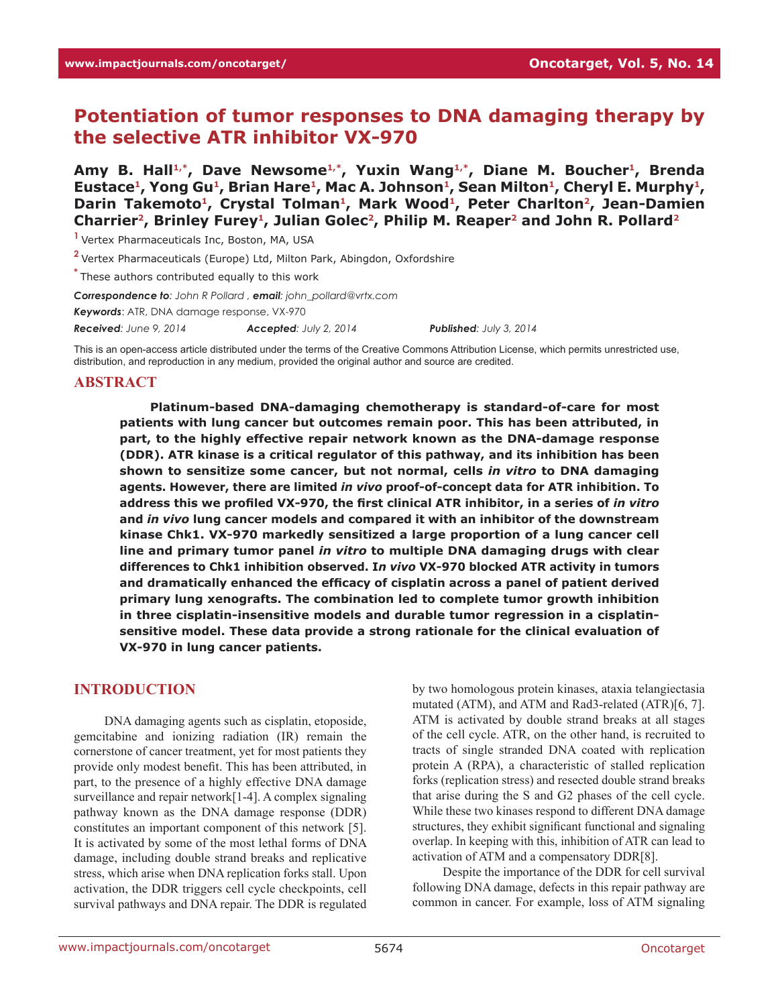# **Potentiation of tumor responses to DNA damaging therapy by the selective ATR inhibitor VX-970**

Amy B. Hall<sup>1,\*</sup>, Dave Newsome<sup>1,\*</sup>, Yuxin Wang<sup>1,\*</sup>, Diane M. Boucher<sup>1</sup>, Brenda Eustace<sup>1</sup>, Yong Gu<sup>1</sup>, Brian Hare<sup>1</sup>, Mac A. Johnson<sup>1</sup>, Sean Milton<sup>1</sup>, Cheryl E. Murphy<sup>1</sup>, Darin Takemoto<sup>1</sup>, Crystal Tolman<sup>1</sup>, Mark Wood<sup>1</sup>, Peter Charlton<sup>2</sup>, Jean-Damien Charrier<sup>2</sup>, Brinley Furey<sup>1</sup>, Julian Golec<sup>2</sup>, Philip M. Reaper<sup>2</sup> and John R. Pollard<sup>2</sup>

**<sup>1</sup>**Vertex Pharmaceuticals Inc, Boston, MA, USA

**<sup>2</sup>**Vertex Pharmaceuticals (Europe) Ltd, Milton Park, Abingdon, Oxfordshire

**\*** These authors contributed equally to this work

*Correspondence to: John R Pollard , email: john\_pollard@vrtx.com*

*Keywords*: ATR, DNA damage response, VX-970

*Received: June 9, 2014 Accepted: July 2, 2014 Published: July 3, 2014*

This is an open-access article distributed under the terms of the Creative Commons Attribution License, which permits unrestricted use, distribution, and reproduction in any medium, provided the original author and source are credited.

### **ABSTRACT**

**Platinum-based DNA-damaging chemotherapy is standard-of-care for most patients with lung cancer but outcomes remain poor. This has been attributed, in part, to the highly effective repair network known as the DNA-damage response (DDR). ATR kinase is a critical regulator of this pathway, and its inhibition has been shown to sensitize some cancer, but not normal, cells** *in vitro* **to DNA damaging agents. However, there are limited** *in vivo* **proof-of-concept data for ATR inhibition. To address this we profiled VX-970, the first clinical ATR inhibitor, in a series of** *in vitro* **and** *in vivo* **lung cancer models and compared it with an inhibitor of the downstream kinase Chk1. VX-970 markedly sensitized a large proportion of a lung cancer cell line and primary tumor panel** *in vitro* **to multiple DNA damaging drugs with clear differences to Chk1 inhibition observed. I***n vivo* **VX-970 blocked ATR activity in tumors and dramatically enhanced the efficacy of cisplatin across a panel of patient derived primary lung xenografts. The combination led to complete tumor growth inhibition in three cisplatin-insensitive models and durable tumor regression in a cisplatinsensitive model. These data provide a strong rationale for the clinical evaluation of VX-970 in lung cancer patients.**

# **INTRODUCTION**

DNA damaging agents such as cisplatin, etoposide, gemcitabine and ionizing radiation (IR) remain the cornerstone of cancer treatment, yet for most patients they provide only modest benefit. This has been attributed, in part, to the presence of a highly effective DNA damage surveillance and repair network<sup>[1-4]</sup>. A complex signaling pathway known as the DNA damage response (DDR) constitutes an important component of this network [5]. It is activated by some of the most lethal forms of DNA damage, including double strand breaks and replicative stress, which arise when DNA replication forks stall. Upon activation, the DDR triggers cell cycle checkpoints, cell survival pathways and DNA repair. The DDR is regulated by two homologous protein kinases, ataxia telangiectasia mutated (ATM), and ATM and Rad3-related (ATR)[6, 7]. ATM is activated by double strand breaks at all stages of the cell cycle. ATR, on the other hand, is recruited to tracts of single stranded DNA coated with replication protein A (RPA), a characteristic of stalled replication forks (replication stress) and resected double strand breaks that arise during the S and G2 phases of the cell cycle. While these two kinases respond to different DNA damage structures, they exhibit significant functional and signaling overlap. In keeping with this, inhibition of ATR can lead to activation of ATM and a compensatory DDR[8].

Despite the importance of the DDR for cell survival following DNA damage, defects in this repair pathway are common in cancer. For example, loss of ATM signaling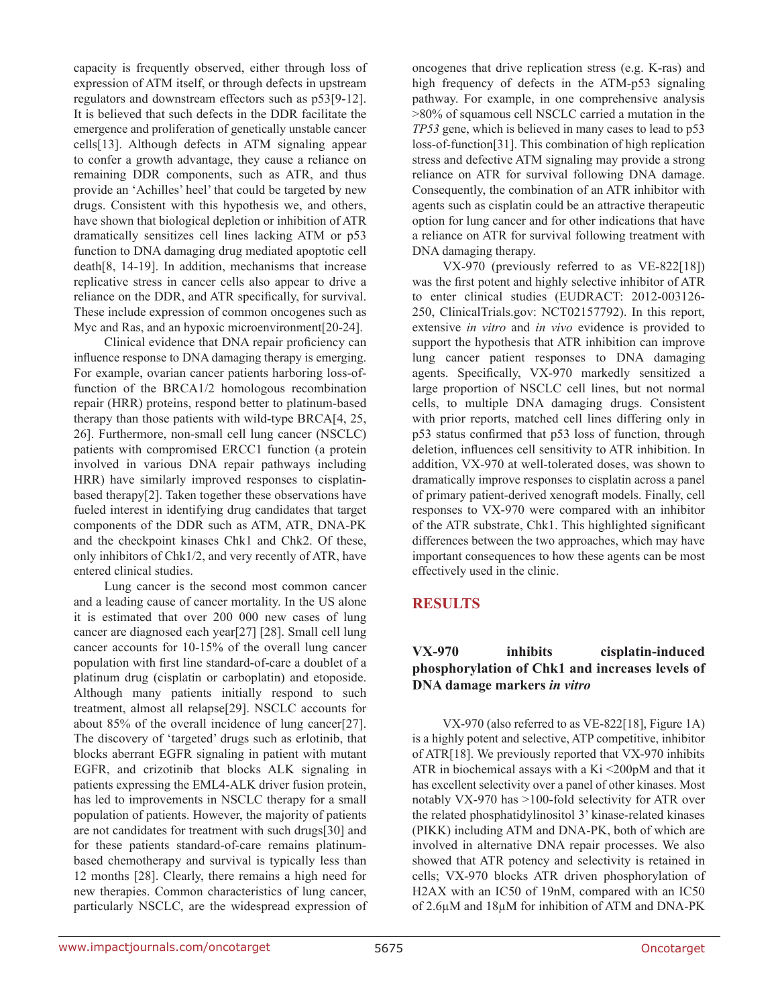capacity is frequently observed, either through loss of expression of ATM itself, or through defects in upstream regulators and downstream effectors such as p53[9-12]. It is believed that such defects in the DDR facilitate the emergence and proliferation of genetically unstable cancer cells[13]. Although defects in ATM signaling appear to confer a growth advantage, they cause a reliance on remaining DDR components, such as ATR, and thus provide an 'Achilles' heel' that could be targeted by new drugs. Consistent with this hypothesis we, and others, have shown that biological depletion or inhibition of ATR dramatically sensitizes cell lines lacking ATM or p53 function to DNA damaging drug mediated apoptotic cell death[8, 14-19]. In addition, mechanisms that increase replicative stress in cancer cells also appear to drive a reliance on the DDR, and ATR specifically, for survival. These include expression of common oncogenes such as Myc and Ras, and an hypoxic microenvironment[20-24].

Clinical evidence that DNA repair proficiency can influence response to DNA damaging therapy is emerging. For example, ovarian cancer patients harboring loss-offunction of the BRCA1/2 homologous recombination repair (HRR) proteins, respond better to platinum-based therapy than those patients with wild-type BRCA[4, 25, 26]. Furthermore, non-small cell lung cancer (NSCLC) patients with compromised ERCC1 function (a protein involved in various DNA repair pathways including HRR) have similarly improved responses to cisplatinbased therapy[2]. Taken together these observations have fueled interest in identifying drug candidates that target components of the DDR such as ATM, ATR, DNA-PK and the checkpoint kinases Chk1 and Chk2. Of these, only inhibitors of Chk1/2, and very recently of ATR, have entered clinical studies.

Lung cancer is the second most common cancer and a leading cause of cancer mortality. In the US alone it is estimated that over 200 000 new cases of lung cancer are diagnosed each year[27] [28]. Small cell lung cancer accounts for 10-15% of the overall lung cancer population with first line standard-of-care a doublet of a platinum drug (cisplatin or carboplatin) and etoposide. Although many patients initially respond to such treatment, almost all relapse[29]. NSCLC accounts for about 85% of the overall incidence of lung cancer[27]. The discovery of 'targeted' drugs such as erlotinib, that blocks aberrant EGFR signaling in patient with mutant EGFR, and crizotinib that blocks ALK signaling in patients expressing the EML4-ALK driver fusion protein, has led to improvements in NSCLC therapy for a small population of patients. However, the majority of patients are not candidates for treatment with such drugs[30] and for these patients standard-of-care remains platinumbased chemotherapy and survival is typically less than 12 months [28]. Clearly, there remains a high need for new therapies. Common characteristics of lung cancer, particularly NSCLC, are the widespread expression of oncogenes that drive replication stress (e.g. K-ras) and high frequency of defects in the ATM-p53 signaling pathway. For example, in one comprehensive analysis >80% of squamous cell NSCLC carried a mutation in the *TP53* gene, which is believed in many cases to lead to p53 loss-of-function[31]. This combination of high replication stress and defective ATM signaling may provide a strong reliance on ATR for survival following DNA damage. Consequently, the combination of an ATR inhibitor with agents such as cisplatin could be an attractive therapeutic option for lung cancer and for other indications that have a reliance on ATR for survival following treatment with DNA damaging therapy.

VX-970 (previously referred to as VE-822[18]) was the first potent and highly selective inhibitor of ATR to enter clinical studies (EUDRACT: 2012-003126- 250, ClinicalTrials.gov: NCT02157792). In this report, extensive *in vitro* and *in vivo* evidence is provided to support the hypothesis that ATR inhibition can improve lung cancer patient responses to DNA damaging agents. Specifically, VX-970 markedly sensitized a large proportion of NSCLC cell lines, but not normal cells, to multiple DNA damaging drugs. Consistent with prior reports, matched cell lines differing only in p53 status confirmed that p53 loss of function, through deletion, influences cell sensitivity to ATR inhibition. In addition, VX-970 at well-tolerated doses, was shown to dramatically improve responses to cisplatin across a panel of primary patient-derived xenograft models. Finally, cell responses to VX-970 were compared with an inhibitor of the ATR substrate, Chk1. This highlighted significant differences between the two approaches, which may have important consequences to how these agents can be most effectively used in the clinic.

# **RESULTS**

# **VX-970 inhibits cisplatin-induced phosphorylation of Chk1 and increases levels of DNA damage markers** *in vitro*

VX-970 (also referred to as VE-822[18], Figure 1A) is a highly potent and selective, ATP competitive, inhibitor of ATR[18]. We previously reported that VX-970 inhibits ATR in biochemical assays with a Ki <200pM and that it has excellent selectivity over a panel of other kinases. Most notably VX-970 has >100-fold selectivity for ATR over the related phosphatidylinositol 3' kinase-related kinases (PIKK) including ATM and DNA-PK, both of which are involved in alternative DNA repair processes. We also showed that ATR potency and selectivity is retained in cells; VX-970 blocks ATR driven phosphorylation of H2AX with an IC50 of 19nM, compared with an IC50 of 2.6µM and 18µM for inhibition of ATM and DNA-PK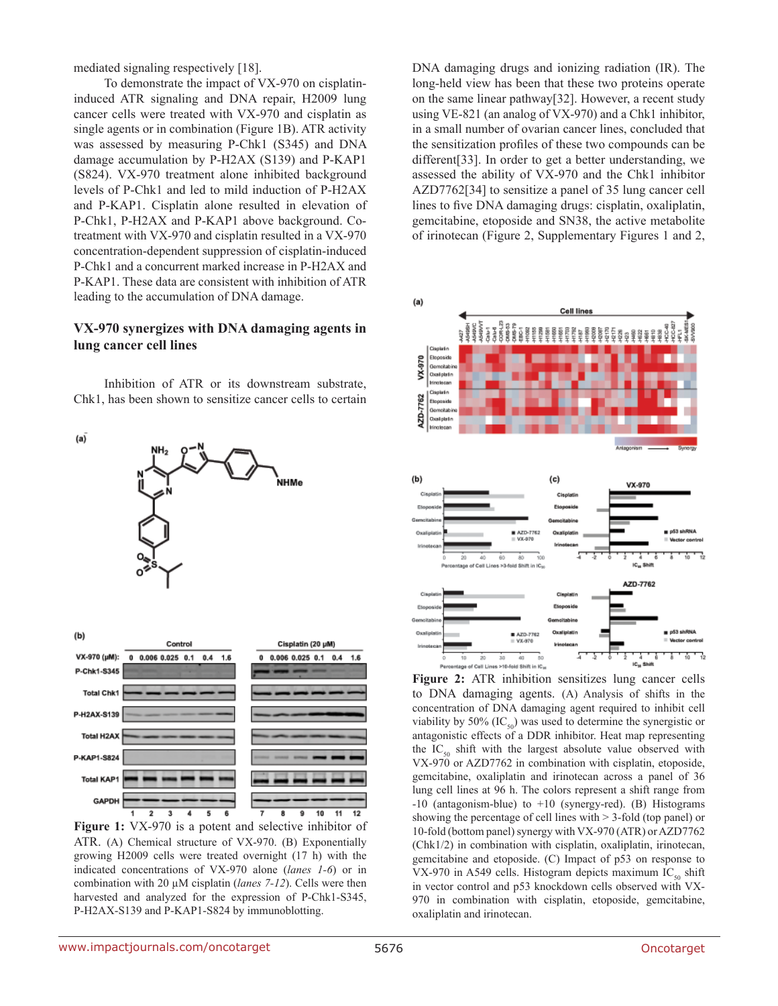mediated signaling respectively [18].

To demonstrate the impact of VX-970 on cisplatininduced ATR signaling and DNA repair, H2009 lung cancer cells were treated with VX-970 and cisplatin as single agents or in combination (Figure 1B). ATR activity was assessed by measuring P-Chk1 (S345) and DNA damage accumulation by P-H2AX (S139) and P-KAP1 (S824). VX-970 treatment alone inhibited background levels of P-Chk1 and led to mild induction of P-H2AX and P-KAP1. Cisplatin alone resulted in elevation of P-Chk1, P-H2AX and P-KAP1 above background. Cotreatment with VX-970 and cisplatin resulted in a VX-970 concentration-dependent suppression of cisplatin-induced P-Chk1 and a concurrent marked increase in P-H2AX and P-KAP1. These data are consistent with inhibition of ATR leading to the accumulation of DNA damage.

### **VX-970 synergizes with DNA damaging agents in lung cancer cell lines**

Inhibition of ATR or its downstream substrate, Chk1, has been shown to sensitize cancer cells to certain





**Figure 1:** VX-970 is a potent and selective inhibitor of ATR. (A) Chemical structure of VX-970. (B) Exponentially growing H2009 cells were treated overnight (17 h) with the indicated concentrations of VX-970 alone (*lanes 1-6*) or in combination with 20 µM cisplatin (*lanes 7-12*). Cells were then harvested and analyzed for the expression of P-Chk1-S345, P-H2AX-S139 and P-KAP1-S824 by immunoblotting.

DNA damaging drugs and ionizing radiation (IR). The long-held view has been that these two proteins operate on the same linear pathway[32]. However, a recent study using VE-821 (an analog of VX-970) and a Chk1 inhibitor, in a small number of ovarian cancer lines, concluded that the sensitization profiles of these two compounds can be different[33]. In order to get a better understanding, we assessed the ability of VX-970 and the Chk1 inhibitor AZD7762[34] to sensitize a panel of 35 lung cancer cell lines to five DNA damaging drugs: cisplatin, oxaliplatin, gemcitabine, etoposide and SN38, the active metabolite of irinotecan (Figure 2, Supplementary Figures 1 and 2,



**Figure 2:** ATR inhibition sensitizes lung cancer cells to DNA damaging agents. (A) Analysis of shifts in the concentration of DNA damaging agent required to inhibit cell viability by 50% (IC $_{50}$ ) was used to determine the synergistic or antagonistic effects of a DDR inhibitor. Heat map representing the  $IC_{50}$  shift with the largest absolute value observed with VX-970 or AZD7762 in combination with cisplatin, etoposide, gemcitabine, oxaliplatin and irinotecan across a panel of 36 lung cell lines at 96 h. The colors represent a shift range from -10 (antagonism-blue) to +10 (synergy-red). (B) Histograms showing the percentage of cell lines with > 3-fold (top panel) or 10-fold (bottom panel) synergy with VX-970 (ATR) or AZD7762 (Chk1/2) in combination with cisplatin, oxaliplatin, irinotecan, gemcitabine and etoposide. (C) Impact of p53 on response to VX-970 in A549 cells. Histogram depicts maximum IC<sub>50</sub> shift in vector control and p53 knockdown cells observed with VX-970 in combination with cisplatin, etoposide, gemcitabine, oxaliplatin and irinotecan.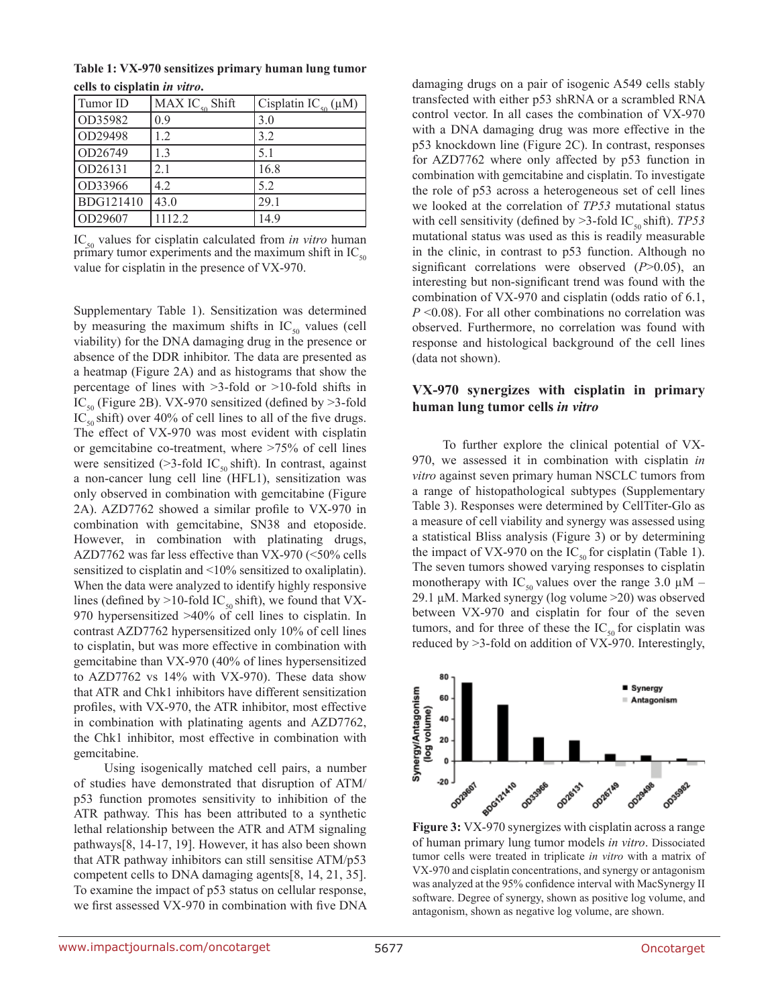**Table 1: VX-970 sensitizes primary human lung tumor cells to cisplatin** *in vitro***.** 

| Tumor ID  | MAX $IC_{50}$ Shift | Cisplatin IC <sub>50</sub> ( $\mu$ M) |
|-----------|---------------------|---------------------------------------|
| OD35982   | 0.9                 | 3.0                                   |
| OD29498   | 12                  | 3.2                                   |
| OD26749   | 13                  | 5.1                                   |
| OD26131   | 2.1                 | 16.8                                  |
| OD33966   | 4.2                 | 5.2                                   |
| BDG121410 | 43.0                | 29.1                                  |
| OD29607   | 1112.2              | 14.9                                  |

IC<sub>50</sub> values for cisplatin calculated from *in vitro* human primary tumor experiments and the maximum shift in  $IC_{50}$ value for cisplatin in the presence of VX-970.

Supplementary Table 1). Sensitization was determined by measuring the maximum shifts in  $IC_{50}$  values (cell viability) for the DNA damaging drug in the presence or absence of the DDR inhibitor. The data are presented as a heatmap (Figure 2A) and as histograms that show the percentage of lines with >3-fold or >10-fold shifts in IC<sub>50</sub> (Figure 2B). VX-970 sensitized (defined by  $>$ 3-fold  $IC_{50}$  shift) over 40% of cell lines to all of the five drugs. The effect of VX-970 was most evident with cisplatin or gemcitabine co-treatment, where >75% of cell lines were sensitized ( $>3$ -fold IC<sub>50</sub> shift). In contrast, against a non-cancer lung cell line (HFL1), sensitization was only observed in combination with gemcitabine (Figure 2A). AZD7762 showed a similar profile to VX-970 in combination with gemcitabine, SN38 and etoposide. However, in combination with platinating drugs, AZD7762 was far less effective than VX-970 (<50% cells sensitized to cisplatin and <10% sensitized to oxaliplatin). When the data were analyzed to identify highly responsive lines (defined by >10-fold IC<sub>50</sub> shift), we found that VX-970 hypersensitized >40% of cell lines to cisplatin. In contrast AZD7762 hypersensitized only 10% of cell lines to cisplatin, but was more effective in combination with gemcitabine than VX-970 (40% of lines hypersensitized to AZD7762 vs 14% with VX-970). These data show that ATR and Chk1 inhibitors have different sensitization profiles, with VX-970, the ATR inhibitor, most effective in combination with platinating agents and AZD7762, the Chk1 inhibitor, most effective in combination with gemcitabine.

Using isogenically matched cell pairs, a number of studies have demonstrated that disruption of ATM/ p53 function promotes sensitivity to inhibition of the ATR pathway. This has been attributed to a synthetic lethal relationship between the ATR and ATM signaling pathways[8, 14-17, 19]. However, it has also been shown that ATR pathway inhibitors can still sensitise ATM/p53 competent cells to DNA damaging agents[8, 14, 21, 35]. To examine the impact of p53 status on cellular response, we first assessed VX-970 in combination with five DNA damaging drugs on a pair of isogenic A549 cells stably transfected with either p53 shRNA or a scrambled RNA control vector. In all cases the combination of VX-970 with a DNA damaging drug was more effective in the p53 knockdown line (Figure 2C). In contrast, responses for AZD7762 where only affected by p53 function in combination with gemcitabine and cisplatin. To investigate the role of p53 across a heterogeneous set of cell lines we looked at the correlation of *TP53* mutational status with cell sensitivity (defined by  $>3$ -fold IC<sub>50</sub> shift). *TP53* mutational status was used as this is readily measurable in the clinic, in contrast to p53 function. Although no significant correlations were observed (*P*>0.05), an interesting but non-significant trend was found with the combination of VX-970 and cisplatin (odds ratio of 6.1, *P* <0.08). For all other combinations no correlation was observed. Furthermore, no correlation was found with response and histological background of the cell lines (data not shown).

# **VX-970 synergizes with cisplatin in primary human lung tumor cells** *in vitro*

To further explore the clinical potential of VX-970, we assessed it in combination with cisplatin *in vitro* against seven primary human NSCLC tumors from a range of histopathological subtypes (Supplementary Table 3). Responses were determined by CellTiter-Glo as a measure of cell viability and synergy was assessed using a statistical Bliss analysis (Figure 3) or by determining the impact of VX-970 on the IC<sub>50</sub> for cisplatin (Table 1). The seven tumors showed varying responses to cisplatin monotherapy with IC<sub>50</sub> values over the range 3.0  $\mu$ M – 29.1 µM. Marked synergy (log volume >20) was observed between VX-970 and cisplatin for four of the seven tumors, and for three of these the  $IC_{50}$  for cisplatin was reduced by >3-fold on addition of VX-970. Interestingly,



**Figure 3:** VX-970 synergizes with cisplatin across a range of human primary lung tumor models *in vitro*. Dissociated tumor cells were treated in triplicate *in vitro* with a matrix of VX-970 and cisplatin concentrations, and synergy or antagonism was analyzed at the 95% confidence interval with MacSynergy II software. Degree of synergy, shown as positive log volume, and antagonism, shown as negative log volume, are shown.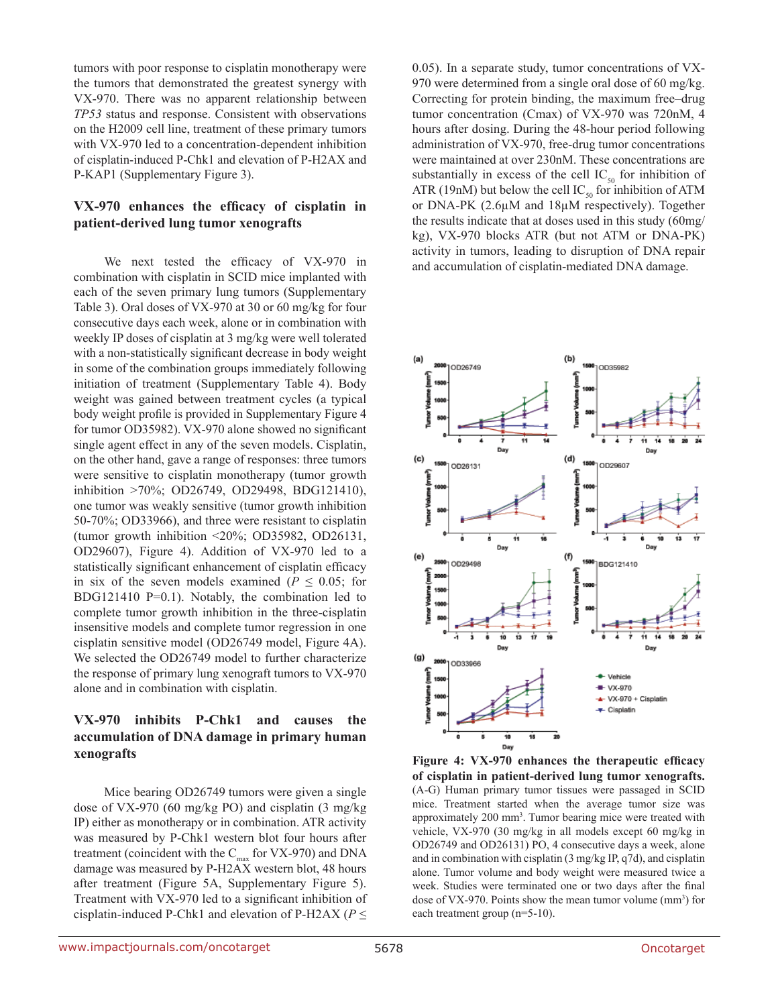tumors with poor response to cisplatin monotherapy were the tumors that demonstrated the greatest synergy with VX-970. There was no apparent relationship between *TP53* status and response. Consistent with observations on the H2009 cell line, treatment of these primary tumors with VX-970 led to a concentration-dependent inhibition of cisplatin-induced P-Chk1 and elevation of P-H2AX and P-KAP1 (Supplementary Figure 3).

# **VX-970 enhances the efficacy of cisplatin in patient-derived lung tumor xenografts**

We next tested the efficacy of VX-970 in combination with cisplatin in SCID mice implanted with each of the seven primary lung tumors (Supplementary Table 3). Oral doses of VX-970 at 30 or 60 mg/kg for four consecutive days each week, alone or in combination with weekly IP doses of cisplatin at 3 mg/kg were well tolerated with a non-statistically significant decrease in body weight in some of the combination groups immediately following initiation of treatment (Supplementary Table 4). Body weight was gained between treatment cycles (a typical body weight profile is provided in Supplementary Figure 4 for tumor OD35982). VX-970 alone showed no significant single agent effect in any of the seven models. Cisplatin, on the other hand, gave a range of responses: three tumors were sensitive to cisplatin monotherapy (tumor growth inhibition >70%; OD26749, OD29498, BDG121410), one tumor was weakly sensitive (tumor growth inhibition 50-70%; OD33966), and three were resistant to cisplatin (tumor growth inhibition <20%; OD35982, OD26131, OD29607), Figure 4). Addition of VX-970 led to a statistically significant enhancement of cisplatin efficacy in six of the seven models examined ( $P \leq 0.05$ ; for BDG121410 P=0.1). Notably, the combination led to complete tumor growth inhibition in the three-cisplatin insensitive models and complete tumor regression in one cisplatin sensitive model (OD26749 model, Figure 4A). We selected the OD26749 model to further characterize the response of primary lung xenograft tumors to VX-970 alone and in combination with cisplatin.

## **VX-970 inhibits P-Chk1 and causes the accumulation of DNA damage in primary human xenografts**

Mice bearing OD26749 tumors were given a single dose of VX-970 (60 mg/kg PO) and cisplatin (3 mg/kg IP) either as monotherapy or in combination. ATR activity was measured by P-Chk1 western blot four hours after treatment (coincident with the  $C_{\text{max}}$  for VX-970) and DNA damage was measured by P-H2AX western blot, 48 hours after treatment (Figure 5A, Supplementary Figure 5). Treatment with VX-970 led to a significant inhibition of cisplatin-induced P-Chk1 and elevation of P-H2AX ( $P \leq$ 

0.05). In a separate study, tumor concentrations of VX-970 were determined from a single oral dose of 60 mg/kg. Correcting for protein binding, the maximum free–drug tumor concentration (Cmax) of VX-970 was 720nM, 4 hours after dosing. During the 48-hour period following administration of VX-970, free-drug tumor concentrations were maintained at over 230nM. These concentrations are substantially in excess of the cell  $IC_{50}$  for inhibition of ATR (19nM) but below the cell  $IC_{50}$  for inhibition of ATM or DNA-PK (2.6µM and 18µM respectively). Together the results indicate that at doses used in this study (60mg/ kg), VX-970 blocks ATR (but not ATM or DNA-PK) activity in tumors, leading to disruption of DNA repair and accumulation of cisplatin-mediated DNA damage.



**Figure 4: VX-970 enhances the therapeutic efficacy of cisplatin in patient-derived lung tumor xenografts.** (A-G) Human primary tumor tissues were passaged in SCID mice. Treatment started when the average tumor size was approximately 200 mm<sup>3</sup>. Tumor bearing mice were treated with vehicle, VX-970 (30 mg/kg in all models except 60 mg/kg in OD26749 and OD26131) PO, 4 consecutive days a week, alone and in combination with cisplatin (3 mg/kg IP, q7d), and cisplatin alone. Tumor volume and body weight were measured twice a week. Studies were terminated one or two days after the final dose of VX-970. Points show the mean tumor volume  $(mm<sup>3</sup>)$  for each treatment group (n=5-10).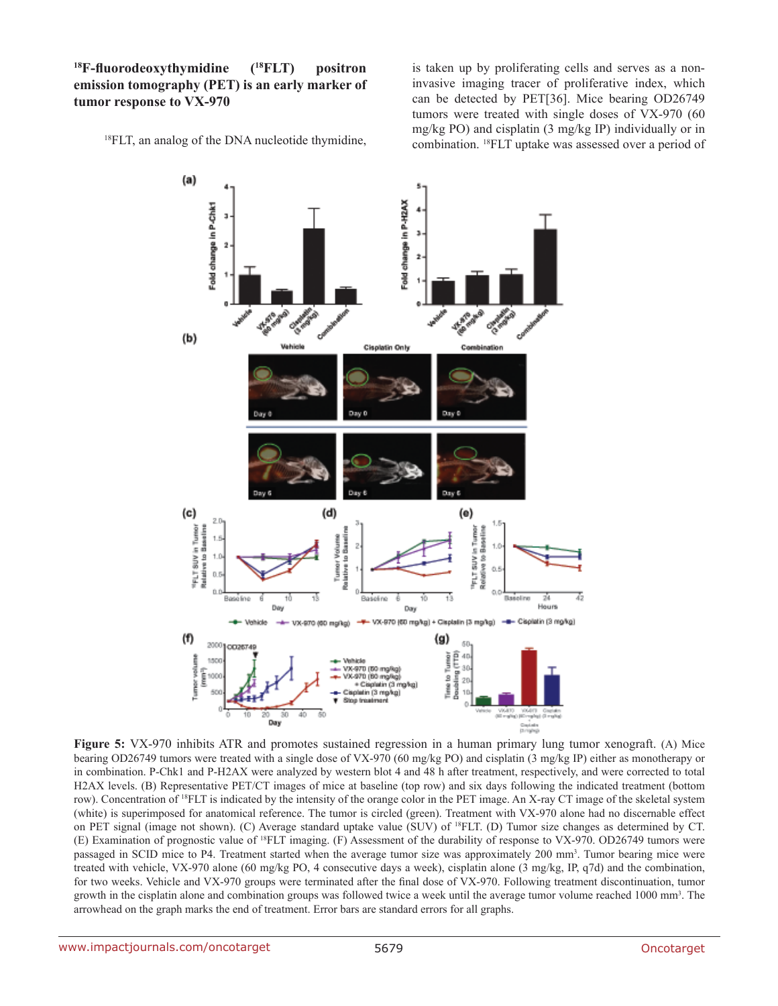**<sup>18</sup>F-fluorodeoxythymidine (18FLT) positron emission tomography (PET) is an early marker of tumor response to VX-970**

<sup>18</sup>FLT, an analog of the DNA nucleotide thymidine,

is taken up by proliferating cells and serves as a noninvasive imaging tracer of proliferative index, which can be detected by PET[36]. Mice bearing OD26749 tumors were treated with single doses of VX-970 (60 mg/kg PO) and cisplatin (3 mg/kg IP) individually or in combination. 18FLT uptake was assessed over a period of



**Figure 5:** VX-970 inhibits ATR and promotes sustained regression in a human primary lung tumor xenograft. (A) Mice bearing OD26749 tumors were treated with a single dose of VX-970 (60 mg/kg PO) and cisplatin (3 mg/kg IP) either as monotherapy or in combination. P-Chk1 and P-H2AX were analyzed by western blot 4 and 48 h after treatment, respectively, and were corrected to total H2AX levels. (B) Representative PET/CT images of mice at baseline (top row) and six days following the indicated treatment (bottom row). Concentration of <sup>18</sup>FLT is indicated by the intensity of the orange color in the PET image. An X-ray CT image of the skeletal system (white) is superimposed for anatomical reference. The tumor is circled (green). Treatment with VX-970 alone had no discernable effect on PET signal (image not shown). (C) Average standard uptake value (SUV) of 18FLT. (D) Tumor size changes as determined by CT. (E) Examination of prognostic value of 18FLT imaging. (F) Assessment of the durability of response to VX-970. OD26749 tumors were passaged in SCID mice to P4. Treatment started when the average tumor size was approximately 200 mm<sup>3</sup>. Tumor bearing mice were treated with vehicle, VX-970 alone (60 mg/kg PO, 4 consecutive days a week), cisplatin alone (3 mg/kg, IP, q7d) and the combination, for two weeks. Vehicle and VX-970 groups were terminated after the final dose of VX-970. Following treatment discontinuation, tumor growth in the cisplatin alone and combination groups was followed twice a week until the average tumor volume reached 1000 mm<sup>3</sup>. The arrowhead on the graph marks the end of treatment. Error bars are standard errors for all graphs.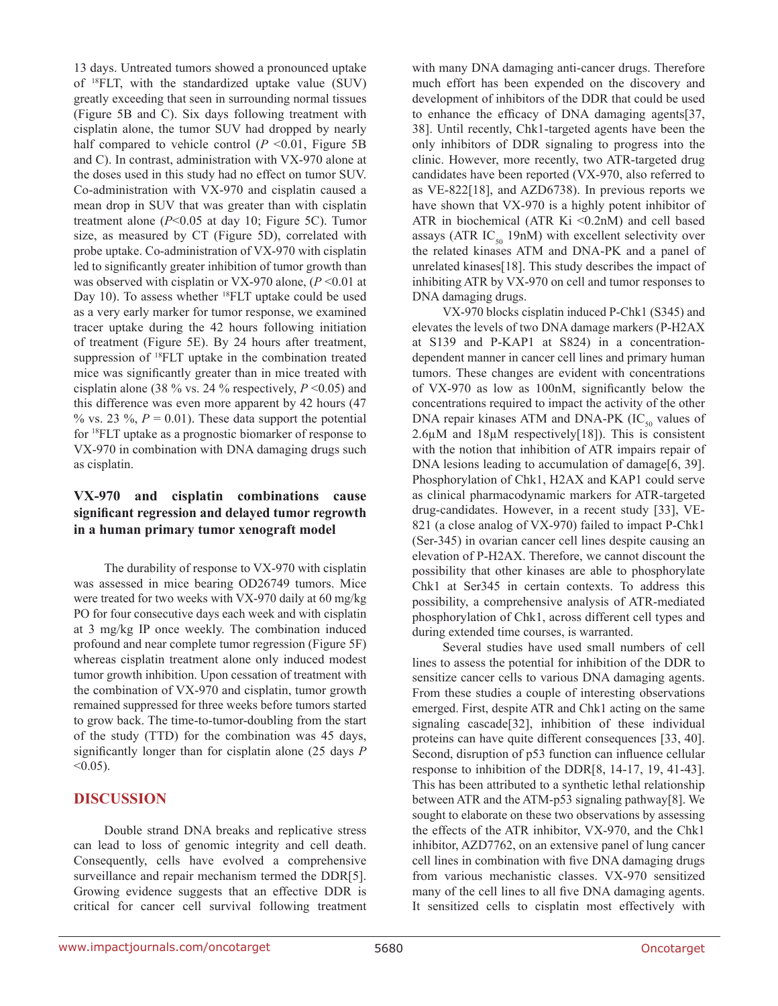13 days. Untreated tumors showed a pronounced uptake of 18FLT, with the standardized uptake value (SUV) greatly exceeding that seen in surrounding normal tissues (Figure 5B and C). Six days following treatment with cisplatin alone, the tumor SUV had dropped by nearly half compared to vehicle control  $(P \le 0.01)$ , Figure 5B and C). In contrast, administration with VX-970 alone at the doses used in this study had no effect on tumor SUV. Co-administration with VX-970 and cisplatin caused a mean drop in SUV that was greater than with cisplatin treatment alone (*P*<0.05 at day 10; Figure 5C). Tumor size, as measured by CT (Figure 5D), correlated with probe uptake. Co-administration of VX-970 with cisplatin led to significantly greater inhibition of tumor growth than was observed with cisplatin or VX-970 alone, ( $P \le 0.01$  at Day 10). To assess whether <sup>18</sup>FLT uptake could be used as a very early marker for tumor response, we examined tracer uptake during the 42 hours following initiation of treatment (Figure 5E). By 24 hours after treatment, suppression of 18FLT uptake in the combination treated mice was significantly greater than in mice treated with cisplatin alone (38 % vs. 24 % respectively,  $P \le 0.05$ ) and this difference was even more apparent by 42 hours (47 % vs. 23 %,  $P = 0.01$ ). These data support the potential for 18FLT uptake as a prognostic biomarker of response to VX-970 in combination with DNA damaging drugs such as cisplatin.

# **VX-970 and cisplatin combinations cause significant regression and delayed tumor regrowth in a human primary tumor xenograft model**

The durability of response to VX-970 with cisplatin was assessed in mice bearing OD26749 tumors. Mice were treated for two weeks with VX-970 daily at 60 mg/kg PO for four consecutive days each week and with cisplatin at 3 mg/kg IP once weekly. The combination induced profound and near complete tumor regression (Figure 5F) whereas cisplatin treatment alone only induced modest tumor growth inhibition. Upon cessation of treatment with the combination of VX-970 and cisplatin, tumor growth remained suppressed for three weeks before tumors started to grow back. The time-to-tumor-doubling from the start of the study (TTD) for the combination was 45 days, significantly longer than for cisplatin alone (25 days *P*  $< 0.05$ ).

# **DISCUSSION**

Double strand DNA breaks and replicative stress can lead to loss of genomic integrity and cell death. Consequently, cells have evolved a comprehensive surveillance and repair mechanism termed the DDR[5]. Growing evidence suggests that an effective DDR is critical for cancer cell survival following treatment with many DNA damaging anti-cancer drugs. Therefore much effort has been expended on the discovery and development of inhibitors of the DDR that could be used to enhance the efficacy of DNA damaging agents[37, 38]. Until recently, Chk1-targeted agents have been the only inhibitors of DDR signaling to progress into the clinic. However, more recently, two ATR-targeted drug candidates have been reported (VX-970, also referred to as VE-822[18], and AZD6738). In previous reports we have shown that VX-970 is a highly potent inhibitor of ATR in biochemical (ATR Ki  $\leq 0.2$ nM) and cell based assays (ATR  $IC_{50}$  19nM) with excellent selectivity over the related kinases ATM and DNA-PK and a panel of unrelated kinases[18]. This study describes the impact of inhibiting ATR by VX-970 on cell and tumor responses to DNA damaging drugs.

VX-970 blocks cisplatin induced P-Chk1 (S345) and elevates the levels of two DNA damage markers (P-H2AX at S139 and P-KAP1 at S824) in a concentrationdependent manner in cancer cell lines and primary human tumors. These changes are evident with concentrations of VX-970 as low as 100nM, significantly below the concentrations required to impact the activity of the other DNA repair kinases ATM and DNA-PK  $(IC_{50}$  values of  $2.6\mu$ M and  $18\mu$ M respectively[18]). This is consistent with the notion that inhibition of ATR impairs repair of DNA lesions leading to accumulation of damage[6, 39]. Phosphorylation of Chk1, H2AX and KAP1 could serve as clinical pharmacodynamic markers for ATR-targeted drug-candidates. However, in a recent study [33], VE-821 (a close analog of VX-970) failed to impact P-Chk1 (Ser-345) in ovarian cancer cell lines despite causing an elevation of P-H2AX. Therefore, we cannot discount the possibility that other kinases are able to phosphorylate Chk1 at Ser345 in certain contexts. To address this possibility, a comprehensive analysis of ATR-mediated phosphorylation of Chk1, across different cell types and during extended time courses, is warranted.

Several studies have used small numbers of cell lines to assess the potential for inhibition of the DDR to sensitize cancer cells to various DNA damaging agents. From these studies a couple of interesting observations emerged. First, despite ATR and Chk1 acting on the same signaling cascade[32], inhibition of these individual proteins can have quite different consequences [33, 40]. Second, disruption of p53 function can influence cellular response to inhibition of the DDR[8, 14-17, 19, 41-43]. This has been attributed to a synthetic lethal relationship between ATR and the ATM-p53 signaling pathway[8]. We sought to elaborate on these two observations by assessing the effects of the ATR inhibitor, VX-970, and the Chk1 inhibitor, AZD7762, on an extensive panel of lung cancer cell lines in combination with five DNA damaging drugs from various mechanistic classes. VX-970 sensitized many of the cell lines to all five DNA damaging agents. It sensitized cells to cisplatin most effectively with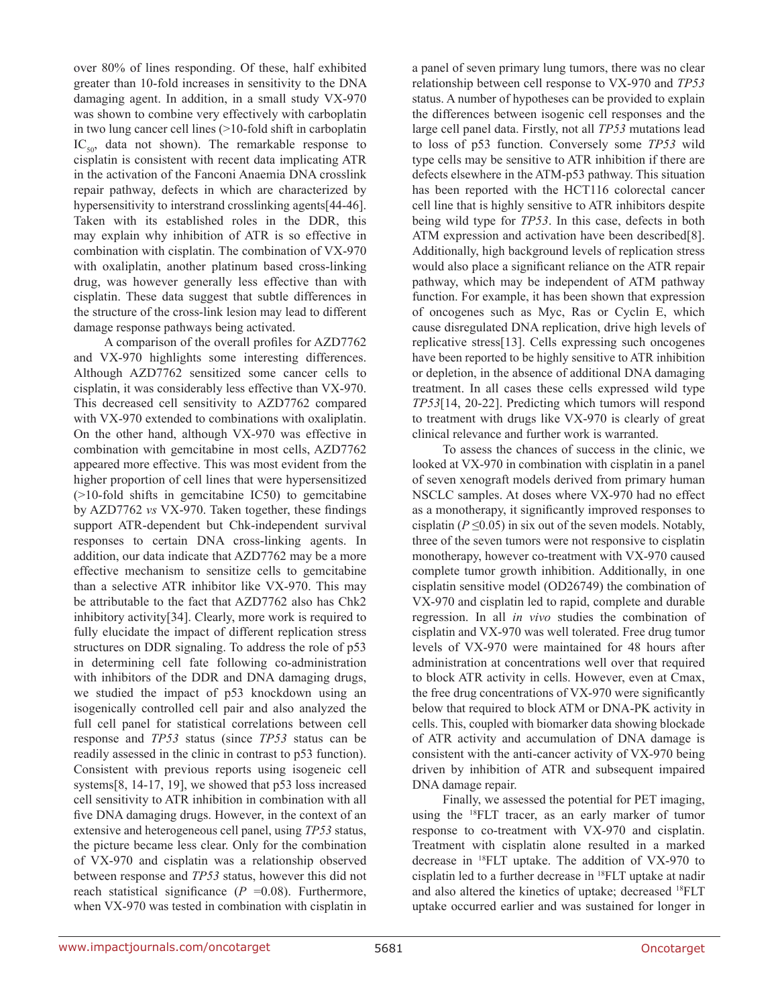over 80% of lines responding. Of these, half exhibited greater than 10-fold increases in sensitivity to the DNA damaging agent. In addition, in a small study VX-970 was shown to combine very effectively with carboplatin in two lung cancer cell lines (>10-fold shift in carboplatin  $IC_{50}$ , data not shown). The remarkable response to cisplatin is consistent with recent data implicating ATR in the activation of the Fanconi Anaemia DNA crosslink repair pathway, defects in which are characterized by hypersensitivity to interstrand crosslinking agents[44-46]. Taken with its established roles in the DDR, this may explain why inhibition of ATR is so effective in combination with cisplatin. The combination of VX-970 with oxaliplatin, another platinum based cross-linking drug, was however generally less effective than with cisplatin. These data suggest that subtle differences in the structure of the cross-link lesion may lead to different damage response pathways being activated.

A comparison of the overall profiles for AZD7762 and VX-970 highlights some interesting differences. Although AZD7762 sensitized some cancer cells to cisplatin, it was considerably less effective than VX-970. This decreased cell sensitivity to AZD7762 compared with VX-970 extended to combinations with oxaliplatin. On the other hand, although VX-970 was effective in combination with gemcitabine in most cells, AZD7762 appeared more effective. This was most evident from the higher proportion of cell lines that were hypersensitized (>10-fold shifts in gemcitabine IC50) to gemcitabine by AZD7762 *vs* VX-970. Taken together, these findings support ATR-dependent but Chk-independent survival responses to certain DNA cross-linking agents. In addition, our data indicate that AZD7762 may be a more effective mechanism to sensitize cells to gemcitabine than a selective ATR inhibitor like VX-970. This may be attributable to the fact that AZD7762 also has Chk2 inhibitory activity[34]. Clearly, more work is required to fully elucidate the impact of different replication stress structures on DDR signaling. To address the role of p53 in determining cell fate following co-administration with inhibitors of the DDR and DNA damaging drugs, we studied the impact of p53 knockdown using an isogenically controlled cell pair and also analyzed the full cell panel for statistical correlations between cell response and *TP53* status (since *TP53* status can be readily assessed in the clinic in contrast to p53 function). Consistent with previous reports using isogeneic cell systems[8, 14-17, 19], we showed that p53 loss increased cell sensitivity to ATR inhibition in combination with all five DNA damaging drugs. However, in the context of an extensive and heterogeneous cell panel, using *TP53* status, the picture became less clear. Only for the combination of VX-970 and cisplatin was a relationship observed between response and *TP53* status, however this did not reach statistical significance  $(P = 0.08)$ . Furthermore, when VX-970 was tested in combination with cisplatin in a panel of seven primary lung tumors, there was no clear relationship between cell response to VX-970 and *TP53* status. A number of hypotheses can be provided to explain the differences between isogenic cell responses and the large cell panel data. Firstly, not all *TP53* mutations lead to loss of p53 function. Conversely some *TP53* wild type cells may be sensitive to ATR inhibition if there are defects elsewhere in the ATM-p53 pathway. This situation has been reported with the HCT116 colorectal cancer cell line that is highly sensitive to ATR inhibitors despite being wild type for *TP53*. In this case, defects in both ATM expression and activation have been described[8]. Additionally, high background levels of replication stress would also place a significant reliance on the ATR repair pathway, which may be independent of ATM pathway function. For example, it has been shown that expression of oncogenes such as Myc, Ras or Cyclin E, which cause disregulated DNA replication, drive high levels of replicative stress[13]. Cells expressing such oncogenes have been reported to be highly sensitive to ATR inhibition or depletion, in the absence of additional DNA damaging treatment. In all cases these cells expressed wild type *TP53*[14, 20-22]. Predicting which tumors will respond to treatment with drugs like VX-970 is clearly of great clinical relevance and further work is warranted.

To assess the chances of success in the clinic, we looked at VX-970 in combination with cisplatin in a panel of seven xenograft models derived from primary human NSCLC samples. At doses where VX-970 had no effect as a monotherapy, it significantly improved responses to cisplatin ( $P \le 0.05$ ) in six out of the seven models. Notably, three of the seven tumors were not responsive to cisplatin monotherapy, however co-treatment with VX-970 caused complete tumor growth inhibition. Additionally, in one cisplatin sensitive model (OD26749) the combination of VX-970 and cisplatin led to rapid, complete and durable regression. In all *in vivo* studies the combination of cisplatin and VX-970 was well tolerated. Free drug tumor levels of VX-970 were maintained for 48 hours after administration at concentrations well over that required to block ATR activity in cells. However, even at Cmax, the free drug concentrations of VX-970 were significantly below that required to block ATM or DNA-PK activity in cells. This, coupled with biomarker data showing blockade of ATR activity and accumulation of DNA damage is consistent with the anti-cancer activity of VX-970 being driven by inhibition of ATR and subsequent impaired DNA damage repair.

Finally, we assessed the potential for PET imaging, using the 18FLT tracer, as an early marker of tumor response to co-treatment with VX-970 and cisplatin. Treatment with cisplatin alone resulted in a marked decrease in 18FLT uptake. The addition of VX-970 to cisplatin led to a further decrease in 18FLT uptake at nadir and also altered the kinetics of uptake; decreased 18FLT uptake occurred earlier and was sustained for longer in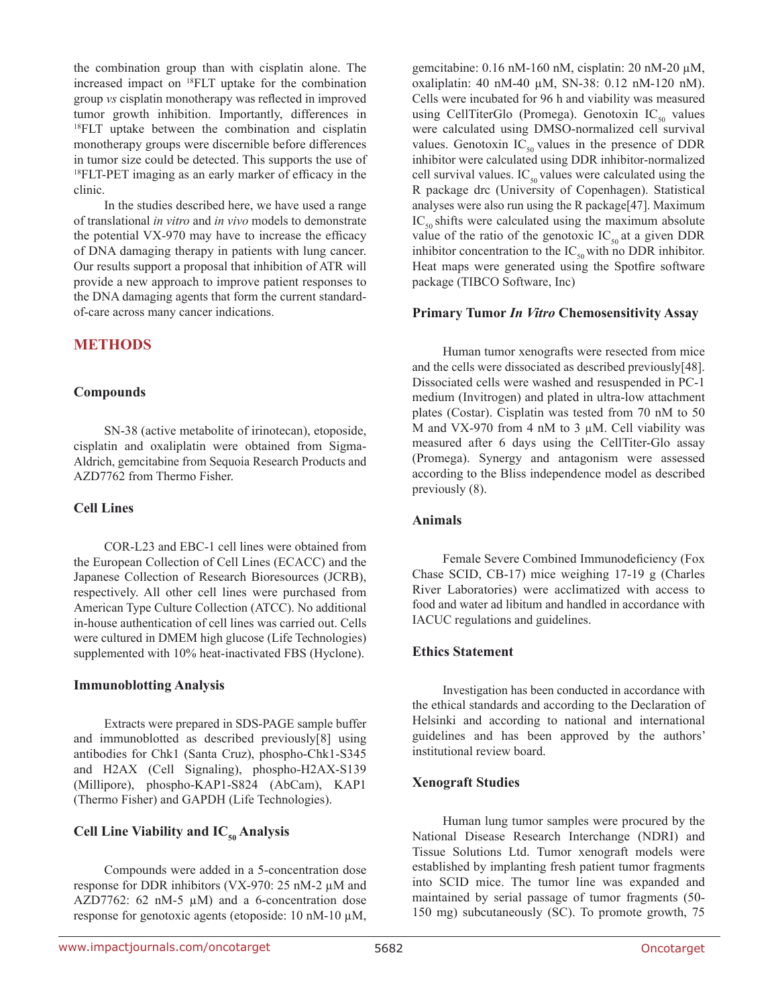the combination group than with cisplatin alone. The increased impact on 18FLT uptake for the combination group *vs* cisplatin monotherapy was reflected in improved tumor growth inhibition. Importantly, differences in <sup>18</sup>FLT uptake between the combination and cisplatin monotherapy groups were discernible before differences in tumor size could be detected. This supports the use of 18FLT-PET imaging as an early marker of efficacy in the clinic.

In the studies described here, we have used a range of translational *in vitro* and *in vivo* models to demonstrate the potential VX-970 may have to increase the efficacy of DNA damaging therapy in patients with lung cancer. Our results support a proposal that inhibition of ATR will provide a new approach to improve patient responses to the DNA damaging agents that form the current standardof-care across many cancer indications.

### **METHODS**

#### **Compounds**

SN-38 (active metabolite of irinotecan), etoposide, cisplatin and oxaliplatin were obtained from Sigma-Aldrich, gemcitabine from Sequoia Research Products and AZD7762 from Thermo Fisher.

#### **Cell Lines**

COR-L23 and EBC-1 cell lines were obtained from the European Collection of Cell Lines (ECACC) and the Japanese Collection of Research Bioresources (JCRB), respectively. All other cell lines were purchased from American Type Culture Collection (ATCC). No additional in-house authentication of cell lines was carried out. Cells were cultured in DMEM high glucose (Life Technologies) supplemented with 10% heat-inactivated FBS (Hyclone).

### **Immunoblotting Analysis**

Extracts were prepared in SDS-PAGE sample buffer and immunoblotted as described previously[8] using antibodies for Chk1 (Santa Cruz), phospho-Chk1-S345 and H2AX (Cell Signaling), phospho-H2AX-S139 (Millipore), phospho-KAP1-S824 (AbCam), KAP1 (Thermo Fisher) and GAPDH (Life Technologies).

# **Cell Line Viability and IC<sub>50</sub> Analysis**

Compounds were added in a 5-concentration dose response for DDR inhibitors (VX-970: 25 nM-2 µM and AZD7762: 62 nM-5  $\mu$ M) and a 6-concentration dose response for genotoxic agents (etoposide: 10 nM-10 µM, gemcitabine: 0.16 nM-160 nM, cisplatin: 20 nM-20 µM, oxaliplatin: 40 nM-40 µM, SN-38: 0.12 nM-120 nM). Cells were incubated for 96 h and viability was measured using CellTiterGlo (Promega). Genotoxin  $IC_{50}$  values were calculated using DMSO-normalized cell survival values. Genotoxin  $IC_{50}$  values in the presence of DDR inhibitor were calculated using DDR inhibitor-normalized cell survival values.  $IC_{50}$  values were calculated using the R package drc (University of Copenhagen). Statistical analyses were also run using the R package[47]. Maximum  $IC_{50}$  shifts were calculated using the maximum absolute value of the ratio of the genotoxic  $IC_{50}$  at a given DDR inhibitor concentration to the  $IC_{50}$  with no DDR inhibitor. Heat maps were generated using the Spotfire software package (TIBCO Software, Inc)

#### **Primary Tumor** *In Vitro* **Chemosensitivity Assay**

Human tumor xenografts were resected from mice and the cells were dissociated as described previously[48]. Dissociated cells were washed and resuspended in PC-1 medium (Invitrogen) and plated in ultra-low attachment plates (Costar). Cisplatin was tested from 70 nM to 50 M and VX-970 from 4 nM to 3  $\mu$ M. Cell viability was measured after 6 days using the CellTiter-Glo assay (Promega). Synergy and antagonism were assessed according to the Bliss independence model as described previously (8).

#### **Animals**

Female Severe Combined Immunodeficiency (Fox Chase SCID, CB-17) mice weighing 17-19 g (Charles River Laboratories) were acclimatized with access to food and water ad libitum and handled in accordance with IACUC regulations and guidelines.

### **Ethics Statement**

Investigation has been conducted in accordance with the ethical standards and according to the Declaration of Helsinki and according to national and international guidelines and has been approved by the authors' institutional review board.

### **Xenograft Studies**

Human lung tumor samples were procured by the National Disease Research Interchange (NDRI) and Tissue Solutions Ltd. Tumor xenograft models were established by implanting fresh patient tumor fragments into SCID mice. The tumor line was expanded and maintained by serial passage of tumor fragments (50- 150 mg) subcutaneously (SC). To promote growth, 75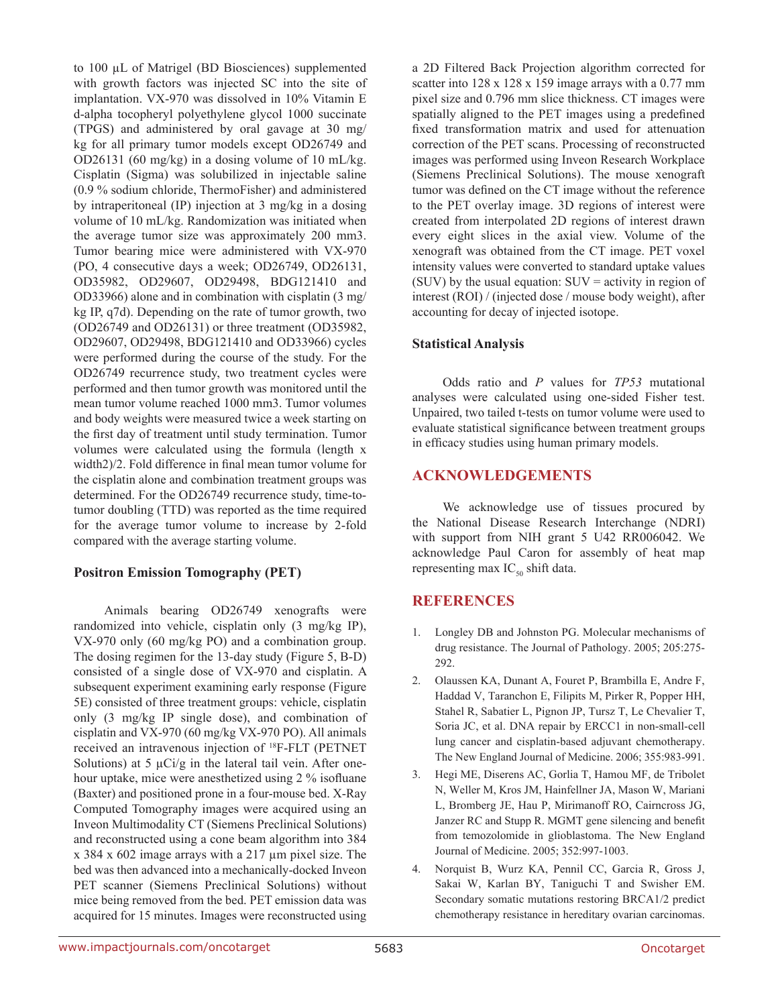to 100 µL of Matrigel (BD Biosciences) supplemented with growth factors was injected SC into the site of implantation. VX-970 was dissolved in 10% Vitamin E d-alpha tocopheryl polyethylene glycol 1000 succinate (TPGS) and administered by oral gavage at 30 mg/ kg for all primary tumor models except OD26749 and OD26131 (60 mg/kg) in a dosing volume of 10 mL/kg. Cisplatin (Sigma) was solubilized in injectable saline (0.9 % sodium chloride, ThermoFisher) and administered by intraperitoneal (IP) injection at 3 mg/kg in a dosing volume of 10 mL/kg. Randomization was initiated when the average tumor size was approximately 200 mm3. Tumor bearing mice were administered with VX-970 (PO, 4 consecutive days a week; OD26749, OD26131, OD35982, OD29607, OD29498, BDG121410 and OD33966) alone and in combination with cisplatin (3 mg/ kg IP, q7d). Depending on the rate of tumor growth, two (OD26749 and OD26131) or three treatment (OD35982, OD29607, OD29498, BDG121410 and OD33966) cycles were performed during the course of the study. For the OD26749 recurrence study, two treatment cycles were performed and then tumor growth was monitored until the mean tumor volume reached 1000 mm3. Tumor volumes and body weights were measured twice a week starting on the first day of treatment until study termination. Tumor volumes were calculated using the formula (length x width2)/2. Fold difference in final mean tumor volume for the cisplatin alone and combination treatment groups was determined. For the OD26749 recurrence study, time-totumor doubling (TTD) was reported as the time required for the average tumor volume to increase by 2-fold compared with the average starting volume.

# **Positron Emission Tomography (PET)**

Animals bearing OD26749 xenografts were randomized into vehicle, cisplatin only (3 mg/kg IP), VX-970 only (60 mg/kg PO) and a combination group. The dosing regimen for the 13-day study (Figure 5, B-D) consisted of a single dose of VX-970 and cisplatin. A subsequent experiment examining early response (Figure 5E) consisted of three treatment groups: vehicle, cisplatin only (3 mg/kg IP single dose), and combination of cisplatin and VX-970 (60 mg/kg VX-970 PO). All animals received an intravenous injection of 18F-FLT (PETNET Solutions) at 5  $\mu$ Ci/g in the lateral tail vein. After onehour uptake, mice were anesthetized using 2 % isofluane (Baxter) and positioned prone in a four-mouse bed. X-Ray Computed Tomography images were acquired using an Inveon Multimodality CT (Siemens Preclinical Solutions) and reconstructed using a cone beam algorithm into 384 x 384 x 602 image arrays with a 217 µm pixel size. The bed was then advanced into a mechanically-docked Inveon PET scanner (Siemens Preclinical Solutions) without mice being removed from the bed. PET emission data was acquired for 15 minutes. Images were reconstructed using

a 2D Filtered Back Projection algorithm corrected for scatter into  $128 \times 128 \times 159$  image arrays with a 0.77 mm pixel size and 0.796 mm slice thickness. CT images were spatially aligned to the PET images using a predefined fixed transformation matrix and used for attenuation correction of the PET scans. Processing of reconstructed images was performed using Inveon Research Workplace (Siemens Preclinical Solutions). The mouse xenograft tumor was defined on the CT image without the reference to the PET overlay image. 3D regions of interest were created from interpolated 2D regions of interest drawn every eight slices in the axial view. Volume of the xenograft was obtained from the CT image. PET voxel intensity values were converted to standard uptake values (SUV) by the usual equation:  $SUV =$  activity in region of interest (ROI) / (injected dose / mouse body weight), after accounting for decay of injected isotope.

### **Statistical Analysis**

Odds ratio and *P* values for *TP53* mutational analyses were calculated using one-sided Fisher test. Unpaired, two tailed t-tests on tumor volume were used to evaluate statistical significance between treatment groups in efficacy studies using human primary models.

# **ACKNOWLEDGEMENTS**

We acknowledge use of tissues procured by the National Disease Research Interchange (NDRI) with support from NIH grant 5 U42 RR006042. We acknowledge Paul Caron for assembly of heat map representing max  $IC_{50}$  shift data.

# **REFERENCES**

- 1. Longley DB and Johnston PG. Molecular mechanisms of drug resistance. The Journal of Pathology. 2005; 205:275- 292.
- 2. Olaussen KA, Dunant A, Fouret P, Brambilla E, Andre F, Haddad V, Taranchon E, Filipits M, Pirker R, Popper HH, Stahel R, Sabatier L, Pignon JP, Tursz T, Le Chevalier T, Soria JC, et al. DNA repair by ERCC1 in non-small-cell lung cancer and cisplatin-based adjuvant chemotherapy. The New England Journal of Medicine. 2006; 355:983-991.
- 3. Hegi ME, Diserens AC, Gorlia T, Hamou MF, de Tribolet N, Weller M, Kros JM, Hainfellner JA, Mason W, Mariani L, Bromberg JE, Hau P, Mirimanoff RO, Cairncross JG, Janzer RC and Stupp R. MGMT gene silencing and benefit from temozolomide in glioblastoma. The New England Journal of Medicine. 2005; 352:997-1003.
- 4. Norquist B, Wurz KA, Pennil CC, Garcia R, Gross J, Sakai W, Karlan BY, Taniguchi T and Swisher EM. Secondary somatic mutations restoring BRCA1/2 predict chemotherapy resistance in hereditary ovarian carcinomas.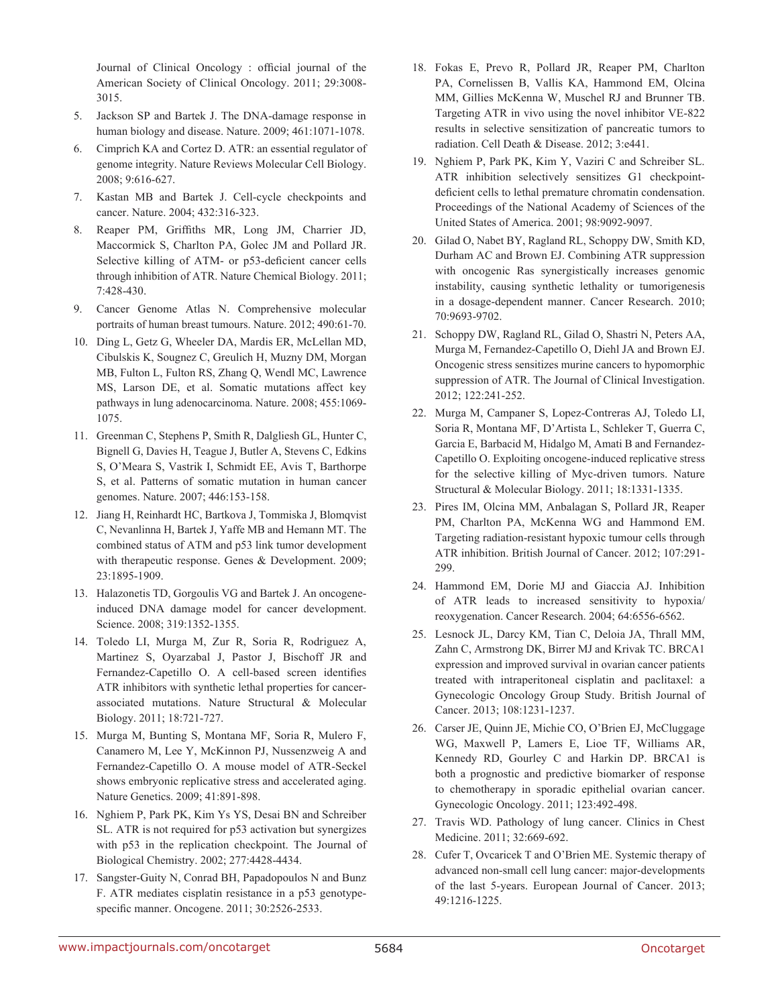Journal of Clinical Oncology : official journal of the American Society of Clinical Oncology. 2011; 29:3008- 3015.

- 5. Jackson SP and Bartek J. The DNA-damage response in human biology and disease. Nature. 2009; 461:1071-1078.
- 6. Cimprich KA and Cortez D. ATR: an essential regulator of genome integrity. Nature Reviews Molecular Cell Biology. 2008; 9:616-627.
- 7. Kastan MB and Bartek J. Cell-cycle checkpoints and cancer. Nature. 2004; 432:316-323.
- 8. Reaper PM, Griffiths MR, Long JM, Charrier JD, Maccormick S, Charlton PA, Golec JM and Pollard JR. Selective killing of ATM- or p53-deficient cancer cells through inhibition of ATR. Nature Chemical Biology. 2011; 7:428-430.
- 9. Cancer Genome Atlas N. Comprehensive molecular portraits of human breast tumours. Nature. 2012; 490:61-70.
- 10. Ding L, Getz G, Wheeler DA, Mardis ER, McLellan MD, Cibulskis K, Sougnez C, Greulich H, Muzny DM, Morgan MB, Fulton L, Fulton RS, Zhang Q, Wendl MC, Lawrence MS, Larson DE, et al. Somatic mutations affect key pathways in lung adenocarcinoma. Nature. 2008; 455:1069- 1075.
- 11. Greenman C, Stephens P, Smith R, Dalgliesh GL, Hunter C, Bignell G, Davies H, Teague J, Butler A, Stevens C, Edkins S, O'Meara S, Vastrik I, Schmidt EE, Avis T, Barthorpe S, et al. Patterns of somatic mutation in human cancer genomes. Nature. 2007; 446:153-158.
- 12. Jiang H, Reinhardt HC, Bartkova J, Tommiska J, Blomqvist C, Nevanlinna H, Bartek J, Yaffe MB and Hemann MT. The combined status of ATM and p53 link tumor development with therapeutic response. Genes & Development. 2009; 23:1895-1909.
- 13. Halazonetis TD, Gorgoulis VG and Bartek J. An oncogeneinduced DNA damage model for cancer development. Science. 2008; 319:1352-1355.
- 14. Toledo LI, Murga M, Zur R, Soria R, Rodriguez A, Martinez S, Oyarzabal J, Pastor J, Bischoff JR and Fernandez-Capetillo O. A cell-based screen identifies ATR inhibitors with synthetic lethal properties for cancerassociated mutations. Nature Structural & Molecular Biology. 2011; 18:721-727.
- 15. Murga M, Bunting S, Montana MF, Soria R, Mulero F, Canamero M, Lee Y, McKinnon PJ, Nussenzweig A and Fernandez-Capetillo O. A mouse model of ATR-Seckel shows embryonic replicative stress and accelerated aging. Nature Genetics. 2009; 41:891-898.
- 16. Nghiem P, Park PK, Kim Ys YS, Desai BN and Schreiber SL. ATR is not required for p53 activation but synergizes with p53 in the replication checkpoint. The Journal of Biological Chemistry. 2002; 277:4428-4434.
- 17. Sangster-Guity N, Conrad BH, Papadopoulos N and Bunz F. ATR mediates cisplatin resistance in a p53 genotypespecific manner. Oncogene. 2011; 30:2526-2533.
- 18. Fokas E, Prevo R, Pollard JR, Reaper PM, Charlton PA, Cornelissen B, Vallis KA, Hammond EM, Olcina MM, Gillies McKenna W, Muschel RJ and Brunner TB. Targeting ATR in vivo using the novel inhibitor VE-822 results in selective sensitization of pancreatic tumors to radiation. Cell Death & Disease. 2012; 3:e441.
- 19. Nghiem P, Park PK, Kim Y, Vaziri C and Schreiber SL. ATR inhibition selectively sensitizes G1 checkpointdeficient cells to lethal premature chromatin condensation. Proceedings of the National Academy of Sciences of the United States of America. 2001; 98:9092-9097.
- 20. Gilad O, Nabet BY, Ragland RL, Schoppy DW, Smith KD, Durham AC and Brown EJ. Combining ATR suppression with oncogenic Ras synergistically increases genomic instability, causing synthetic lethality or tumorigenesis in a dosage-dependent manner. Cancer Research. 2010; 70:9693-9702.
- 21. Schoppy DW, Ragland RL, Gilad O, Shastri N, Peters AA, Murga M, Fernandez-Capetillo O, Diehl JA and Brown EJ. Oncogenic stress sensitizes murine cancers to hypomorphic suppression of ATR. The Journal of Clinical Investigation. 2012; 122:241-252.
- 22. Murga M, Campaner S, Lopez-Contreras AJ, Toledo LI, Soria R, Montana MF, D'Artista L, Schleker T, Guerra C, Garcia E, Barbacid M, Hidalgo M, Amati B and Fernandez-Capetillo O. Exploiting oncogene-induced replicative stress for the selective killing of Myc-driven tumors. Nature Structural & Molecular Biology. 2011; 18:1331-1335.
- 23. Pires IM, Olcina MM, Anbalagan S, Pollard JR, Reaper PM, Charlton PA, McKenna WG and Hammond EM. Targeting radiation-resistant hypoxic tumour cells through ATR inhibition. British Journal of Cancer. 2012; 107:291- 299.
- 24. Hammond EM, Dorie MJ and Giaccia AJ. Inhibition of ATR leads to increased sensitivity to hypoxia/ reoxygenation. Cancer Research. 2004; 64:6556-6562.
- 25. Lesnock JL, Darcy KM, Tian C, Deloia JA, Thrall MM, Zahn C, Armstrong DK, Birrer MJ and Krivak TC. BRCA1 expression and improved survival in ovarian cancer patients treated with intraperitoneal cisplatin and paclitaxel: a Gynecologic Oncology Group Study. British Journal of Cancer. 2013; 108:1231-1237.
- 26. Carser JE, Quinn JE, Michie CO, O'Brien EJ, McCluggage WG, Maxwell P, Lamers E, Lioe TF, Williams AR, Kennedy RD, Gourley C and Harkin DP. BRCA1 is both a prognostic and predictive biomarker of response to chemotherapy in sporadic epithelial ovarian cancer. Gynecologic Oncology. 2011; 123:492-498.
- 27. Travis WD. Pathology of lung cancer. Clinics in Chest Medicine. 2011; 32:669-692.
- 28. Cufer T, Ovcaricek T and O'Brien ME. Systemic therapy of advanced non-small cell lung cancer: major-developments of the last 5-years. European Journal of Cancer. 2013; 49:1216-1225.